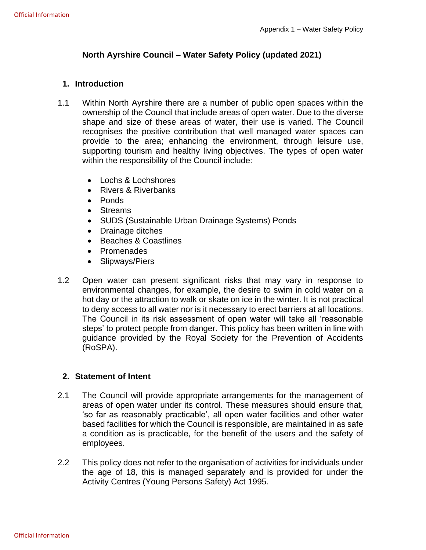#### **North Ayrshire Council – Water Safety Policy (updated 2021)**

#### **1. Introduction**

- 1.1 Within North Ayrshire there are a number of public open spaces within the ownership of the Council that include areas of open water. Due to the diverse shape and size of these areas of water, their use is varied. The Council recognises the positive contribution that well managed water spaces can provide to the area; enhancing the environment, through leisure use, supporting tourism and healthy living objectives. The types of open water within the responsibility of the Council include:
	- Lochs & Lochshores
	- Rivers & Riverbanks
	- Ponds
	- Streams
	- SUDS (Sustainable Urban Drainage Systems) Ponds
	- Drainage ditches
	- Beaches & Coastlines
	- Promenades
	- Slipways/Piers
- 1.2 Open water can present significant risks that may vary in response to environmental changes, for example, the desire to swim in cold water on a hot day or the attraction to walk or skate on ice in the winter. It is not practical to deny access to all water nor is it necessary to erect barriers at all locations. The Council in its risk assessment of open water will take all 'reasonable steps' to protect people from danger. This policy has been written in line with guidance provided by the Royal Society for the Prevention of Accidents (RoSPA).

#### **2. Statement of Intent**

- 2.1 The Council will provide appropriate arrangements for the management of areas of open water under its control. These measures should ensure that, 'so far as reasonably practicable', all open water facilities and other water based facilities for which the Council is responsible, are maintained in as safe a condition as is practicable, for the benefit of the users and the safety of employees.
- 2.2 This policy does not refer to the organisation of activities for individuals under the age of 18, this is managed separately and is provided for under the Activity Centres (Young Persons Safety) Act 1995.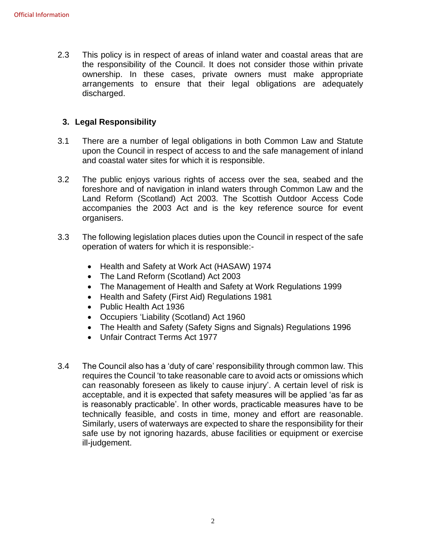2.3 This policy is in respect of areas of inland water and coastal areas that are the responsibility of the Council. It does not consider those within private ownership. In these cases, private owners must make appropriate arrangements to ensure that their legal obligations are adequately discharged.

#### **3. Legal Responsibility**

- 3.1 There are a number of legal obligations in both Common Law and Statute upon the Council in respect of access to and the safe management of inland and coastal water sites for which it is responsible.
- 3.2 The public enjoys various rights of access over the sea, seabed and the foreshore and of navigation in inland waters through Common Law and the Land Reform (Scotland) Act 2003. The Scottish Outdoor Access Code accompanies the 2003 Act and is the key reference source for event organisers.
- 3.3 The following legislation places duties upon the Council in respect of the safe operation of waters for which it is responsible:-
	- Health and Safety at Work Act (HASAW) 1974
	- The Land Reform (Scotland) Act 2003
	- The Management of Health and Safety at Work Regulations 1999
	- Health and Safety (First Aid) Regulations 1981
	- Public Health Act 1936
	- Occupiers 'Liability (Scotland) Act 1960
	- The Health and Safety (Safety Signs and Signals) Regulations 1996
	- Unfair Contract Terms Act 1977
- 3.4 The Council also has a 'duty of care' responsibility through common law. This requires the Council 'to take reasonable care to avoid acts or omissions which can reasonably foreseen as likely to cause injury'. A certain level of risk is acceptable, and it is expected that safety measures will be applied 'as far as is reasonably practicable'. In other words, practicable measures have to be technically feasible, and costs in time, money and effort are reasonable. Similarly, users of waterways are expected to share the responsibility for their safe use by not ignoring hazards, abuse facilities or equipment or exercise ill-judgement.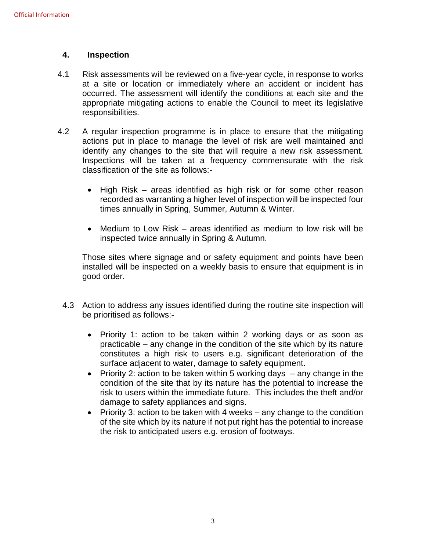#### **4. Inspection**

- 4.1 Risk assessments will be reviewed on a five-year cycle, in response to works at a site or location or immediately where an accident or incident has occurred. The assessment will identify the conditions at each site and the appropriate mitigating actions to enable the Council to meet its legislative responsibilities.
- 4.2 A regular inspection programme is in place to ensure that the mitigating actions put in place to manage the level of risk are well maintained and identify any changes to the site that will require a new risk assessment. Inspections will be taken at a frequency commensurate with the risk classification of the site as follows:-
	- High Risk areas identified as high risk or for some other reason recorded as warranting a higher level of inspection will be inspected four times annually in Spring, Summer, Autumn & Winter.
	- Medium to Low Risk areas identified as medium to low risk will be inspected twice annually in Spring & Autumn.

Those sites where signage and or safety equipment and points have been installed will be inspected on a weekly basis to ensure that equipment is in good order.

- 4.3 Action to address any issues identified during the routine site inspection will be prioritised as follows:-
	- Priority 1: action to be taken within 2 working days or as soon as practicable – any change in the condition of the site which by its nature constitutes a high risk to users e.g. significant deterioration of the surface adjacent to water, damage to safety equipment.
	- Priority 2: action to be taken within 5 working days  $-$  any change in the condition of the site that by its nature has the potential to increase the risk to users within the immediate future. This includes the theft and/or damage to safety appliances and signs.
	- Priority 3: action to be taken with 4 weeks any change to the condition of the site which by its nature if not put right has the potential to increase the risk to anticipated users e.g. erosion of footways.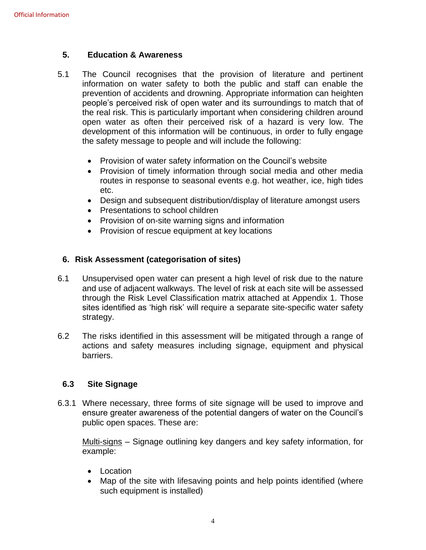#### **5. Education & Awareness**

- 5.1 The Council recognises that the provision of literature and pertinent information on water safety to both the public and staff can enable the prevention of accidents and drowning. Appropriate information can heighten people's perceived risk of open water and its surroundings to match that of the real risk. This is particularly important when considering children around open water as often their perceived risk of a hazard is very low. The development of this information will be continuous, in order to fully engage the safety message to people and will include the following:
	- Provision of water safety information on the Council's website
	- Provision of timely information through social media and other media routes in response to seasonal events e.g. hot weather, ice, high tides etc.
	- Design and subsequent distribution/display of literature amongst users
	- Presentations to school children
	- Provision of on-site warning signs and information
	- Provision of rescue equipment at key locations

#### **6. Risk Assessment (categorisation of sites)**

- 6.1 Unsupervised open water can present a high level of risk due to the nature and use of adjacent walkways. The level of risk at each site will be assessed through the Risk Level Classification matrix attached at Appendix 1. Those sites identified as 'high risk' will require a separate site-specific water safety strategy.
- 6.2 The risks identified in this assessment will be mitigated through a range of actions and safety measures including signage, equipment and physical barriers.

#### **6.3 Site Signage**

6.3.1 Where necessary, three forms of site signage will be used to improve and ensure greater awareness of the potential dangers of water on the Council's public open spaces. These are:

Multi-signs - Signage outlining key dangers and key safety information, for example:

- Location
- Map of the site with lifesaving points and help points identified (where such equipment is installed)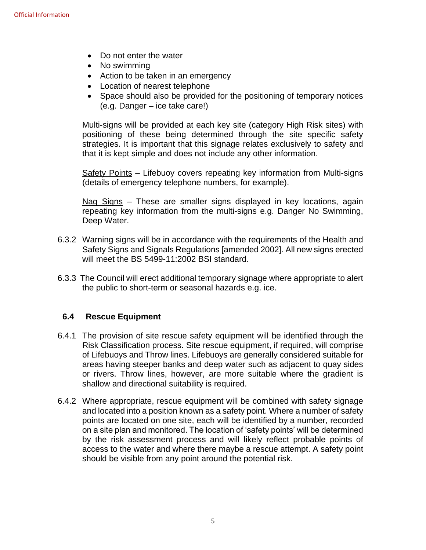- Do not enter the water
- No swimming
- Action to be taken in an emergency
- Location of nearest telephone
- Space should also be provided for the positioning of temporary notices (e.g. Danger – ice take care!)

Multi-signs will be provided at each key site (category High Risk sites) with positioning of these being determined through the site specific safety strategies. It is important that this signage relates exclusively to safety and that it is kept simple and does not include any other information.

Safety Points – Lifebuoy covers repeating key information from Multi-signs (details of emergency telephone numbers, for example).

Nag Signs – These are smaller signs displayed in key locations, again repeating key information from the multi-signs e.g. Danger No Swimming, Deep Water.

- 6.3.2 Warning signs will be in accordance with the requirements of the Health and Safety Signs and Signals Regulations [amended 2002]. All new signs erected will meet the BS 5499-11:2002 BSI standard.
- 6.3.3 The Council will erect additional temporary signage where appropriate to alert the public to short-term or seasonal hazards e.g. ice.

#### **6.4 Rescue Equipment**

- 6.4.1 The provision of site rescue safety equipment will be identified through the Risk Classification process. Site rescue equipment, if required, will comprise of Lifebuoys and Throw lines. Lifebuoys are generally considered suitable for areas having steeper banks and deep water such as adjacent to quay sides or rivers. Throw lines, however, are more suitable where the gradient is shallow and directional suitability is required.
- 6.4.2 Where appropriate, rescue equipment will be combined with safety signage and located into a position known as a safety point. Where a number of safety points are located on one site, each will be identified by a number, recorded on a site plan and monitored. The location of 'safety points' will be determined by the risk assessment process and will likely reflect probable points of access to the water and where there maybe a rescue attempt. A safety point should be visible from any point around the potential risk.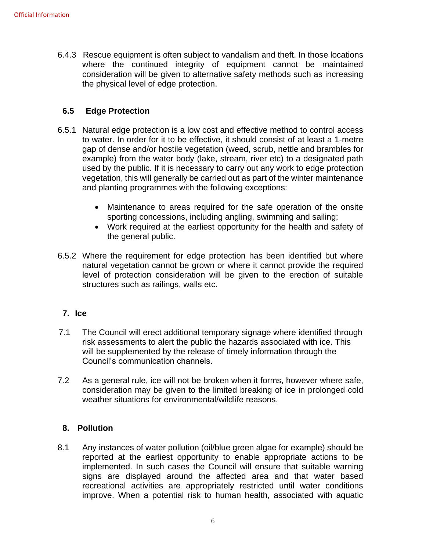6.4.3 Rescue equipment is often subject to vandalism and theft. In those locations where the continued integrity of equipment cannot be maintained consideration will be given to alternative safety methods such as increasing the physical level of edge protection.

#### **6.5 Edge Protection**

- 6.5.1 Natural edge protection is a low cost and effective method to control access to water. In order for it to be effective, it should consist of at least a 1-metre gap of dense and/or hostile vegetation (weed, scrub, nettle and brambles for example) from the water body (lake, stream, river etc) to a designated path used by the public. If it is necessary to carry out any work to edge protection vegetation, this will generally be carried out as part of the winter maintenance and planting programmes with the following exceptions:
	- Maintenance to areas required for the safe operation of the onsite sporting concessions, including angling, swimming and sailing;
	- Work required at the earliest opportunity for the health and safety of the general public.
- 6.5.2 Where the requirement for edge protection has been identified but where natural vegetation cannot be grown or where it cannot provide the required level of protection consideration will be given to the erection of suitable structures such as railings, walls etc.

#### **7. Ice**

- 7.1 The Council will erect additional temporary signage where identified through risk assessments to alert the public the hazards associated with ice. This will be supplemented by the release of timely information through the Council's communication channels.
- 7.2 As a general rule, ice will not be broken when it forms, however where safe, consideration may be given to the limited breaking of ice in prolonged cold weather situations for environmental/wildlife reasons.

#### **8. Pollution**

8.1 Any instances of water pollution (oil/blue green algae for example) should be reported at the earliest opportunity to enable appropriate actions to be implemented. In such cases the Council will ensure that suitable warning signs are displayed around the affected area and that water based recreational activities are appropriately restricted until water conditions improve. When a potential risk to human health, associated with aquatic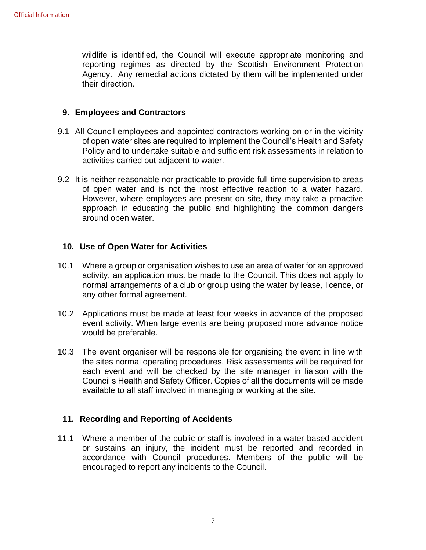wildlife is identified, the Council will execute appropriate monitoring and reporting regimes as directed by the Scottish Environment Protection Agency. Any remedial actions dictated by them will be implemented under their direction.

#### **9. Employees and Contractors**

- 9.1 All Council employees and appointed contractors working on or in the vicinity of open water sites are required to implement the Council's Health and Safety Policy and to undertake suitable and sufficient risk assessments in relation to activities carried out adjacent to water.
- 9.2 It is neither reasonable nor practicable to provide full-time supervision to areas of open water and is not the most effective reaction to a water hazard. However, where employees are present on site, they may take a proactive approach in educating the public and highlighting the common dangers around open water.

#### **10. Use of Open Water for Activities**

- 10.1 Where a group or organisation wishes to use an area of water for an approved activity, an application must be made to the Council. This does not apply to normal arrangements of a club or group using the water by lease, licence, or any other formal agreement.
- 10.2 Applications must be made at least four weeks in advance of the proposed event activity. When large events are being proposed more advance notice would be preferable.
- 10.3 The event organiser will be responsible for organising the event in line with the sites normal operating procedures. Risk assessments will be required for each event and will be checked by the site manager in liaison with the Council's Health and Safety Officer. Copies of all the documents will be made available to all staff involved in managing or working at the site.

#### **11. Recording and Reporting of Accidents**

11.1 Where a member of the public or staff is involved in a water-based accident or sustains an injury, the incident must be reported and recorded in accordance with Council procedures. Members of the public will be encouraged to report any incidents to the Council.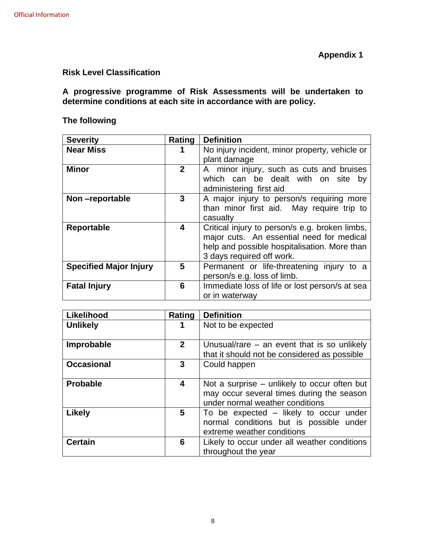#### **Risk Level Classification**

#### **A progressive programme of Risk Assessments will be undertaken to determine conditions at each site in accordance with are policy.**

## **The following**

| <b>Severity</b>               | Rating       | <b>Definition</b>                              |
|-------------------------------|--------------|------------------------------------------------|
| <b>Near Miss</b>              |              | No injury incident, minor property, vehicle or |
|                               |              | plant damage                                   |
| <b>Minor</b>                  | $\mathbf{2}$ | A minor injury, such as cuts and bruises       |
|                               |              | which can be dealt with on site<br>bv          |
|                               |              | administering first aid                        |
| Non-reportable                | 3            | A major injury to person/s requiring more      |
|                               |              | than minor first aid. May require trip to      |
|                               |              | casualty                                       |
| Reportable                    | 4            | Critical injury to person/s e.g. broken limbs, |
|                               |              | major cuts. An essential need for medical      |
|                               |              | help and possible hospitalisation. More than   |
|                               |              | 3 days required off work.                      |
| <b>Specified Major Injury</b> | 5            | Permanent or life-threatening injury to a      |
|                               |              | person/s e.g. loss of limb.                    |
| <b>Fatal Injury</b>           | 6            | Immediate loss of life or lost person/s at sea |
|                               |              | or in waterway                                 |

| Likelihood        | Rating         | <b>Definition</b>                             |  |
|-------------------|----------------|-----------------------------------------------|--|
| <b>Unlikely</b>   | 1              | Not to be expected                            |  |
|                   |                |                                               |  |
| Improbable        | $\overline{2}$ | Unusual/rare $-$ an event that is so unlikely |  |
|                   |                | that it should not be considered as possible  |  |
| <b>Occasional</b> | 3              | Could happen                                  |  |
|                   |                |                                               |  |
| <b>Probable</b>   | 4              | Not a surprise – unlikely to occur often but  |  |
|                   |                | may occur several times during the season     |  |
|                   |                | under normal weather conditions               |  |
| <b>Likely</b>     | 5              | To be expected – likely to occur under        |  |
|                   |                | normal conditions but is possible under       |  |
|                   |                | extreme weather conditions                    |  |
| <b>Certain</b>    | 6              | Likely to occur under all weather conditions  |  |
|                   |                | throughout the year                           |  |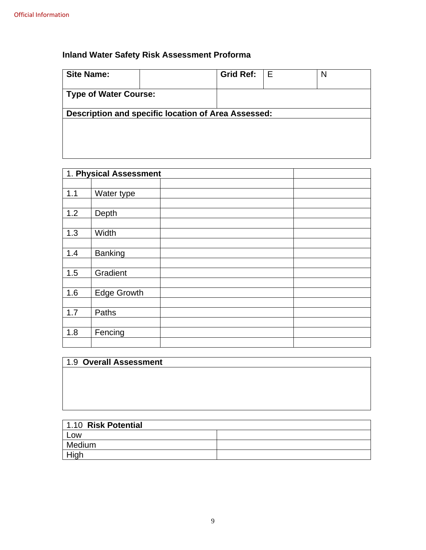## **Inland Water Safety Risk Assessment Proforma**

| <b>Site Name:</b>            |                                                     | <b>Grid Ref:</b> | l E | N |
|------------------------------|-----------------------------------------------------|------------------|-----|---|
| <b>Type of Water Course:</b> |                                                     |                  |     |   |
|                              | Description and specific location of Area Assessed: |                  |     |   |

|     | 1. Physical Assessment |  |
|-----|------------------------|--|
|     |                        |  |
| 1.1 | Water type             |  |
|     |                        |  |
| 1.2 | Depth                  |  |
|     |                        |  |
| 1.3 | Width                  |  |
|     |                        |  |
| 1.4 | <b>Banking</b>         |  |
|     |                        |  |
| 1.5 | Gradient               |  |
|     |                        |  |
| 1.6 | <b>Edge Growth</b>     |  |
|     |                        |  |
| 1.7 | Paths                  |  |
|     |                        |  |
| 1.8 | Fencing                |  |
|     |                        |  |

| 1.9 Overall Assessment |  |
|------------------------|--|
|                        |  |
|                        |  |
|                        |  |
|                        |  |

| 1.10 Risk Potential |  |
|---------------------|--|
| Low                 |  |
| Medium              |  |
| High                |  |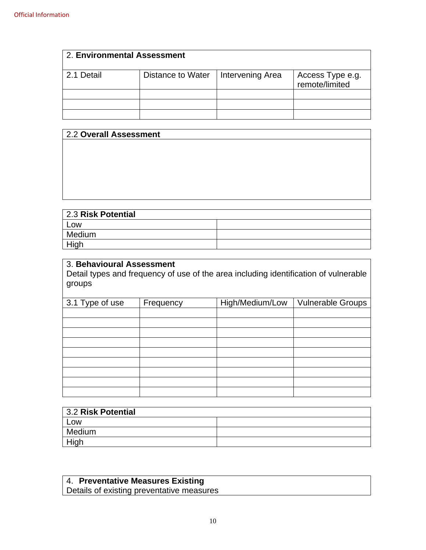| 2. Environmental Assessment |                   |                  |                                    |  |
|-----------------------------|-------------------|------------------|------------------------------------|--|
| 2.1 Detail                  | Distance to Water | Intervening Area | Access Type e.g.<br>remote/limited |  |
|                             |                   |                  |                                    |  |
|                             |                   |                  |                                    |  |
|                             |                   |                  |                                    |  |

| 2.2 Overall Assessment |  |  |
|------------------------|--|--|
|                        |  |  |
|                        |  |  |
|                        |  |  |
|                        |  |  |
|                        |  |  |
|                        |  |  |
| 2.3 Risk Potential     |  |  |
| _OW                    |  |  |

| 2.3 RISK POTENTIAL |  |  |  |
|--------------------|--|--|--|
| Low                |  |  |  |
| Medium             |  |  |  |
| High               |  |  |  |

## 3. **Behavioural Assessment**

Detail types and frequency of use of the area including identification of vulnerable groups

| 3.1 Type of use | Frequency | High/Medium/Low | <b>Vulnerable Groups</b> |
|-----------------|-----------|-----------------|--------------------------|
|                 |           |                 |                          |
|                 |           |                 |                          |
|                 |           |                 |                          |
|                 |           |                 |                          |
|                 |           |                 |                          |
|                 |           |                 |                          |
|                 |           |                 |                          |
|                 |           |                 |                          |
|                 |           |                 |                          |

| 3.2 Risk Potential |  |
|--------------------|--|
| Low                |  |
| Medium             |  |
| High               |  |

#### 4. **Preventative Measures Existing**

Details of existing preventative measures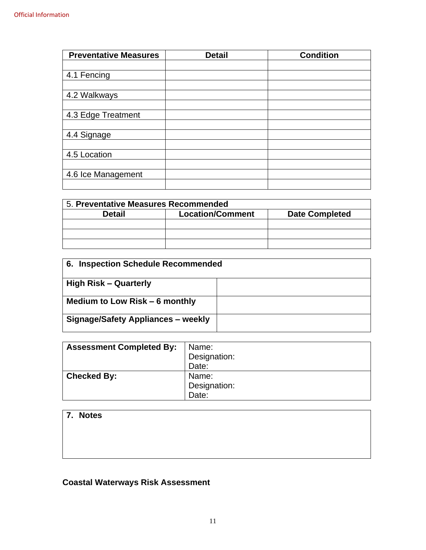| <b>Preventative Measures</b> | <b>Detail</b> | <b>Condition</b> |
|------------------------------|---------------|------------------|
|                              |               |                  |
| 4.1 Fencing                  |               |                  |
|                              |               |                  |
| 4.2 Walkways                 |               |                  |
|                              |               |                  |
| 4.3 Edge Treatment           |               |                  |
|                              |               |                  |
| 4.4 Signage                  |               |                  |
|                              |               |                  |
| 4.5 Location                 |               |                  |
|                              |               |                  |
| 4.6 Ice Management           |               |                  |
|                              |               |                  |

| 5. Preventative Measures Recommended                              |  |  |  |  |  |
|-------------------------------------------------------------------|--|--|--|--|--|
| <b>Location/Comment</b><br><b>Date Completed</b><br><b>Detail</b> |  |  |  |  |  |
|                                                                   |  |  |  |  |  |
|                                                                   |  |  |  |  |  |
|                                                                   |  |  |  |  |  |

| 6. Inspection Schedule Recommended        |  |  |
|-------------------------------------------|--|--|
| <b>High Risk - Quarterly</b>              |  |  |
| Medium to Low Risk – 6 monthly            |  |  |
| <b>Signage/Safety Appliances - weekly</b> |  |  |

| <b>Assessment Completed By:</b> | Name:<br>Designation:<br>Date: |
|---------------------------------|--------------------------------|
| <b>Checked By:</b>              | Name:                          |
|                                 | Designation:                   |
|                                 | Date:                          |

## **7. Notes**

# **Coastal Waterways Risk Assessment**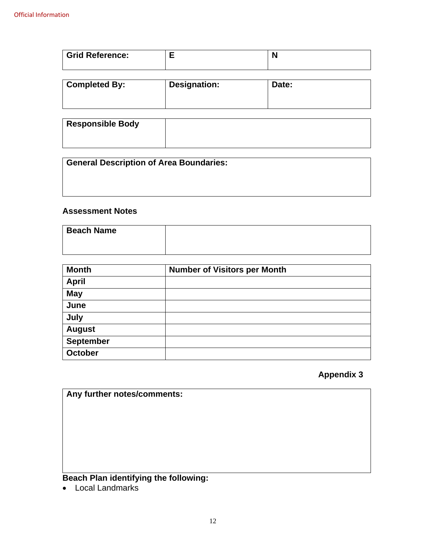| <b>Grid Reference:</b> | F                   | N     |  |
|------------------------|---------------------|-------|--|
| <b>Completed By:</b>   | <b>Designation:</b> | Date: |  |

| <b>Responsible Body</b> |  |
|-------------------------|--|
|                         |  |

| <b>General Description of Area Boundaries:</b> |  |
|------------------------------------------------|--|
|                                                |  |
|                                                |  |

#### **Assessment Notes**

| <b>Beach Name</b> |  |
|-------------------|--|
|                   |  |
|                   |  |
|                   |  |

| <b>Month</b>     | <b>Number of Visitors per Month</b> |
|------------------|-------------------------------------|
| <b>April</b>     |                                     |
| <b>May</b>       |                                     |
| June             |                                     |
| July             |                                     |
| <b>August</b>    |                                     |
| <b>September</b> |                                     |
| October          |                                     |

### **Appendix 3**

**Any further notes/comments:**

# **Beach Plan identifying the following:**

• Local Landmarks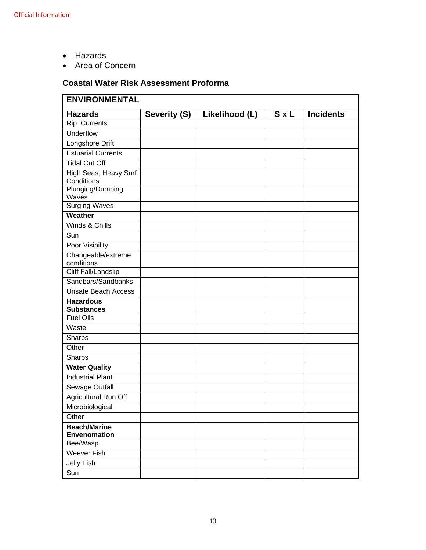- Hazards
- Area of Concern

### **Coastal Water Risk Assessment Proforma**

| <b>ENVIRONMENTAL</b>                  |              |                |            |                  |
|---------------------------------------|--------------|----------------|------------|------------------|
| <b>Hazards</b>                        | Severity (S) | Likelihood (L) | <b>SxL</b> | <b>Incidents</b> |
| <b>Rip Currents</b>                   |              |                |            |                  |
| Underflow                             |              |                |            |                  |
| Longshore Drift                       |              |                |            |                  |
| <b>Estuarial Currents</b>             |              |                |            |                  |
| <b>Tidal Cut Off</b>                  |              |                |            |                  |
| High Seas, Heavy Surf<br>Conditions   |              |                |            |                  |
| Plunging/Dumping<br>Waves             |              |                |            |                  |
| <b>Surging Waves</b>                  |              |                |            |                  |
| Weather                               |              |                |            |                  |
| Winds & Chills                        |              |                |            |                  |
| Sun                                   |              |                |            |                  |
| Poor Visibility                       |              |                |            |                  |
| Changeable/extreme<br>conditions      |              |                |            |                  |
| <b>Cliff Fall/Landslip</b>            |              |                |            |                  |
| Sandbars/Sandbanks                    |              |                |            |                  |
| <b>Unsafe Beach Access</b>            |              |                |            |                  |
| <b>Hazardous</b><br><b>Substances</b> |              |                |            |                  |
| <b>Fuel Oils</b>                      |              |                |            |                  |
| Waste                                 |              |                |            |                  |
| Sharps                                |              |                |            |                  |
| Other                                 |              |                |            |                  |
| Sharps                                |              |                |            |                  |
| <b>Water Quality</b>                  |              |                |            |                  |
| <b>Industrial Plant</b>               |              |                |            |                  |
| Sewage Outfall                        |              |                |            |                  |
| Agricultural Run Off                  |              |                |            |                  |
| Microbiological                       |              |                |            |                  |
| Other                                 |              |                |            |                  |
| <b>Beach/Marine</b><br>Envenomation   |              |                |            |                  |
| Bee/Wasp                              |              |                |            |                  |
| <b>Weever Fish</b>                    |              |                |            |                  |
| Jelly Fish                            |              |                |            |                  |
| Sun                                   |              |                |            |                  |